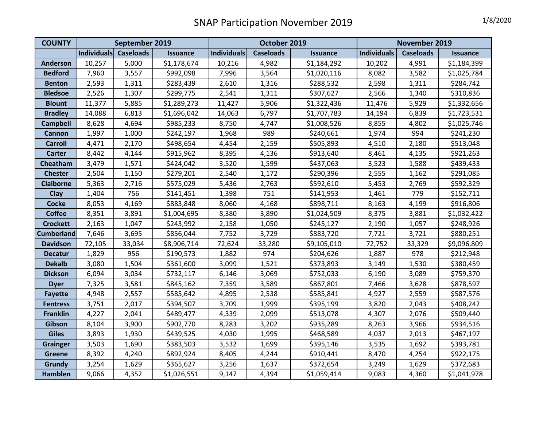| <b>COUNTY</b>     | September 2019 |                  | October 2019    |                    |                  | November 2019   |                    |                  |                 |
|-------------------|----------------|------------------|-----------------|--------------------|------------------|-----------------|--------------------|------------------|-----------------|
|                   | Individuals    | <b>Caseloads</b> | <b>Issuance</b> | <b>Individuals</b> | <b>Caseloads</b> | <b>Issuance</b> | <b>Individuals</b> | <b>Caseloads</b> | <b>Issuance</b> |
| <b>Anderson</b>   | 10,257         | 5,000            | \$1,178,674     | 10,216             | 4,982            | \$1,184,292     | 10,202             | 4,991            | \$1,184,399     |
| <b>Bedford</b>    | 7,960          | 3,557            | \$992,098       | 7,996              | 3,564            | \$1,020,116     | 8,082              | 3,582            | \$1,025,784     |
| <b>Benton</b>     | 2,593          | 1,311            | \$283,439       | 2,610              | 1,316            | \$288,532       | 2,598              | 1,311            | \$284,742       |
| <b>Bledsoe</b>    | 2,526          | 1,307            | \$299,775       | 2,541              | 1,311            | \$307,627       | 2,566              | 1,340            | \$310,836       |
| <b>Blount</b>     | 11,377         | 5,885            | \$1,289,273     | 11,427             | 5,906            | \$1,322,436     | 11,476             | 5,929            | \$1,332,656     |
| <b>Bradley</b>    | 14,088         | 6,813            | \$1,696,042     | 14,063             | 6,797            | \$1,707,783     | 14,194             | 6,839            | \$1,723,531     |
| <b>Campbell</b>   | 8,628          | 4,694            | \$985,233       | 8,750              | 4,747            | \$1,008,526     | 8,855              | 4,802            | \$1,025,746     |
| Cannon            | 1,997          | 1,000            | \$242,197       | 1,968              | 989              | \$240,661       | 1,974              | 994              | \$241,230       |
| <b>Carroll</b>    | 4,471          | 2,170            | \$498,654       | 4,454              | 2,159            | \$505,893       | 4,510              | 2,180            | \$513,048       |
| <b>Carter</b>     | 8,442          | 4,144            | \$915,962       | 8,395              | 4,136            | \$913,640       | 8,461              | 4,135            | \$921,263       |
| Cheatham          | 3,479          | 1,571            | \$424,042       | 3,520              | 1,599            | \$437,063       | 3,523              | 1,588            | \$439,433       |
| <b>Chester</b>    | 2,504          | 1,150            | \$279,201       | 2,540              | 1,172            | \$290,396       | 2,555              | 1,162            | \$291,085       |
| <b>Claiborne</b>  | 5,363          | 2,716            | \$575,029       | 5,436              | 2,763            | \$592,610       | 5,453              | 2,769            | \$592,329       |
| Clay              | 1,404          | 756              | \$141,451       | 1,398              | 751              | \$141,953       | 1,461              | 779              | \$152,711       |
| <b>Cocke</b>      | 8,053          | 4,169            | \$883,848       | 8,060              | 4,168            | \$898,711       | 8,163              | 4,199            | \$916,806       |
| <b>Coffee</b>     | 8,351          | 3,891            | \$1,004,695     | 8,380              | 3,890            | \$1,024,509     | 8,375              | 3,881            | \$1,032,422     |
| <b>Crockett</b>   | 2,163          | 1,047            | \$243,992       | 2,158              | 1,050            | \$245,127       | 2,190              | 1,057            | \$248,926       |
| <b>Cumberland</b> | 7,646          | 3,695            | \$856,044       | 7,752              | 3,729            | \$883,720       | 7,721              | 3,721            | \$880,251       |
| <b>Davidson</b>   | 72,105         | 33,034           | \$8,906,714     | 72,624             | 33,280           | \$9,105,010     | 72,752             | 33,329           | \$9,096,809     |
| <b>Decatur</b>    | 1,829          | 956              | \$190,573       | 1,882              | 974              | \$204,626       | 1,887              | 978              | \$212,948       |
| <b>Dekalb</b>     | 3,080          | 1,504            | \$361,600       | 3,099              | 1,521            | \$373,893       | 3,149              | 1,530            | \$380,459       |
| <b>Dickson</b>    | 6,094          | 3,034            | \$732,117       | 6,146              | 3,069            | \$752,033       | 6,190              | 3,089            | \$759,370       |
| <b>Dyer</b>       | 7,325          | 3,581            | \$845,162       | 7,359              | 3,589            | \$867,801       | 7,466              | 3,628            | \$878,597       |
| <b>Fayette</b>    | 4,948          | 2,557            | \$585,642       | 4,895              | 2,538            | \$585,841       | 4,927              | 2,559            | \$587,576       |
| <b>Fentress</b>   | 3,751          | 2,017            | \$394,507       | 3,709              | 1,999            | \$395,199       | 3,820              | 2,043            | \$408,242       |
| <b>Franklin</b>   | 4,227          | 2,041            | \$489,477       | 4,339              | 2,099            | \$513,078       | 4,307              | 2,076            | \$509,440       |
| Gibson            | 8,104          | 3,900            | \$902,770       | 8,283              | 3,202            | \$935,289       | 8,263              | 3,966            | \$934,516       |
| <b>Giles</b>      | 3,893          | 1,930            | \$439,525       | 4,030              | 1,995            | \$468,589       | 4,037              | 2,013            | \$467,197       |
| <b>Grainger</b>   | 3,503          | 1,690            | \$383,503       | 3,532              | 1,699            | \$395,146       | 3,535              | 1,692            | \$393,781       |
| <b>Greene</b>     | 8,392          | 4,240            | \$892,924       | 8,405              | 4,244            | \$910,441       | 8,470              | 4,254            | \$922,175       |
| Grundy            | 3,254          | 1,629            | \$365,627       | 3,256              | 1,637            | \$372,654       | 3,249              | 1,629            | \$372,683       |
| <b>Hamblen</b>    | 9,066          | 4,352            | \$1,026,551     | 9,147              | 4,394            | \$1,059,414     | 9,083              | 4,360            | \$1,041,978     |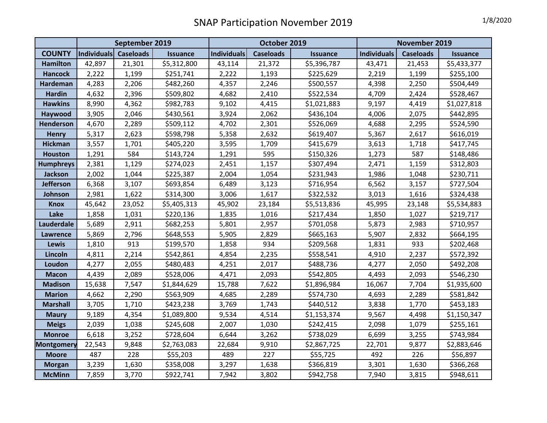|                   | September 2019 |                  |                 | October 2019       |                  |                 | November 2019      |                  |                 |
|-------------------|----------------|------------------|-----------------|--------------------|------------------|-----------------|--------------------|------------------|-----------------|
| <b>COUNTY</b>     | Individuals    | <b>Caseloads</b> | <b>Issuance</b> | <b>Individuals</b> | <b>Caseloads</b> | <b>Issuance</b> | <b>Individuals</b> | <b>Caseloads</b> | <b>Issuance</b> |
| <b>Hamilton</b>   | 42,897         | 21,301           | \$5,312,800     | 43,114             | 21,372           | \$5,396,787     | 43,471             | 21,453           | \$5,433,377     |
| <b>Hancock</b>    | 2,222          | 1,199            | \$251,741       | 2,222              | 1,193            | \$225,629       | 2,219              | 1,199            | \$255,100       |
| Hardeman          | 4,283          | 2,206            | \$482,260       | 4,357              | 2,246            | \$500,557       | 4,398              | 2,250            | \$504,449       |
| <b>Hardin</b>     | 4,632          | 2,396            | \$509,802       | 4,682              | 2,410            | \$522,534       | 4,709              | 2,424            | \$528,467       |
| <b>Hawkins</b>    | 8,990          | 4,362            | \$982,783       | 9,102              | 4,415            | \$1,021,883     | 9,197              | 4,419            | \$1,027,818     |
| Haywood           | 3,905          | 2,046            | \$430,561       | 3,924              | 2,062            | \$436,104       | 4,006              | 2,075            | \$442,895       |
| Henderson         | 4,670          | 2,289            | \$509,112       | 4,702              | 2,301            | \$526,069       | 4,688              | 2,295            | \$524,590       |
| <b>Henry</b>      | 5,317          | 2,623            | \$598,798       | 5,358              | 2,632            | \$619,407       | 5,367              | 2,617            | \$616,019       |
| <b>Hickman</b>    | 3,557          | 1,701            | \$405,220       | 3,595              | 1,709            | \$415,679       | 3,613              | 1,718            | \$417,745       |
| <b>Houston</b>    | 1,291          | 584              | \$143,724       | 1,291              | 595              | \$150,326       | 1,273              | 587              | \$148,486       |
| <b>Humphreys</b>  | 2,381          | 1,129            | \$274,023       | 2,451              | 1,157            | \$307,494       | 2,471              | 1,159            | \$312,803       |
| <b>Jackson</b>    | 2,002          | 1,044            | \$225,387       | 2,004              | 1,054            | \$231,943       | 1,986              | 1,048            | \$230,711       |
| <b>Jefferson</b>  | 6,368          | 3,107            | \$693,854       | 6,489              | 3,123            | \$716,954       | 6,562              | 3,157            | \$727,504       |
| Johnson           | 2,981          | 1,622            | \$314,300       | 3,006              | 1,617            | \$322,532       | 3,013              | 1,616            | \$324,438       |
| <b>Knox</b>       | 45,642         | 23,052           | \$5,405,313     | 45,902             | 23,184           | \$5,513,836     | 45,995             | 23,148           | \$5,534,883     |
| Lake              | 1,858          | 1,031            | \$220,136       | 1,835              | 1,016            | \$217,434       | 1,850              | 1,027            | \$219,717       |
| Lauderdale        | 5,689          | 2,911            | \$682,253       | 5,801              | 2,957            | \$701,058       | 5,873              | 2,983            | \$710,957       |
| <b>Lawrence</b>   | 5,869          | 2,796            | \$648,553       | 5,905              | 2,829            | \$665,163       | 5,907              | 2,832            | \$664,195       |
| <b>Lewis</b>      | 1,810          | 913              | \$199,570       | 1,858              | 934              | \$209,568       | 1,831              | 933              | \$202,468       |
| Lincoln           | 4,811          | 2,214            | \$542,861       | 4,854              | 2,235            | \$558,541       | 4,910              | 2,237            | \$572,392       |
| Loudon            | 4,277          | 2,055            | \$480,483       | 4,251              | 2,017            | \$488,736       | 4,277              | 2,050            | \$492,208       |
| <b>Macon</b>      | 4,439          | 2,089            | \$528,006       | 4,471              | 2,093            | \$542,805       | 4,493              | 2,093            | \$546,230       |
| <b>Madison</b>    | 15,638         | 7,547            | \$1,844,629     | 15,788             | 7,622            | \$1,896,984     | 16,067             | 7,704            | \$1,935,600     |
| <b>Marion</b>     | 4,662          | 2,290            | \$563,909       | 4,685              | 2,289            | \$574,730       | 4,693              | 2,289            | \$581,842       |
| <b>Marshall</b>   | 3,705          | 1,710            | \$423,238       | 3,769              | 1,743            | \$440,512       | 3,838              | 1,770            | \$453,183       |
| <b>Maury</b>      | 9,189          | 4,354            | \$1,089,800     | 9,534              | 4,514            | \$1,153,374     | 9,567              | 4,498            | \$1,150,347     |
| <b>Meigs</b>      | 2,039          | 1,038            | \$245,608       | 2,007              | 1,030            | \$242,415       | 2,098              | 1,079            | \$255,161       |
| <b>Monroe</b>     | 6,618          | 3,252            | \$728,604       | 6,644              | 3,262            | \$738,029       | 6,699              | 3,255            | \$743,984       |
| <b>Montgomery</b> | 22,543         | 9,848            | \$2,763,083     | 22,684             | 9,910            | \$2,867,725     | 22,701             | 9,877            | \$2,883,646     |
| <b>Moore</b>      | 487            | 228              | \$55,203        | 489                | 227              | \$55,725        | 492                | 226              | \$56,897        |
| <b>Morgan</b>     | 3,239          | 1,630            | \$358,008       | 3,297              | 1,638            | \$366,819       | 3,301              | 1,630            | \$366,268       |
| <b>McMinn</b>     | 7,859          | 3,770            | \$922,741       | 7,942              | 3,802            | \$942,758       | 7,940              | 3,815            | \$948,611       |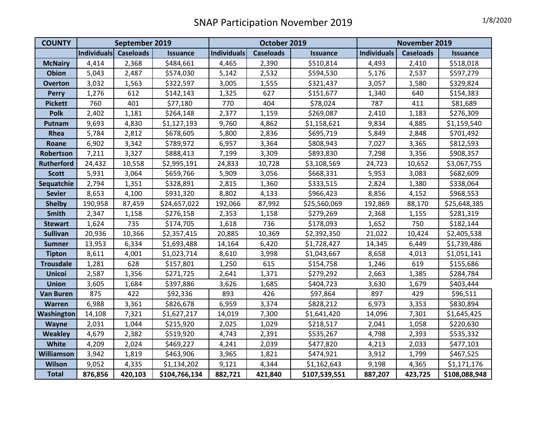| <b>COUNTY</b>     | September 2019 |                  |                 | October 2019       |                  |                 | November 2019      |                  |                 |
|-------------------|----------------|------------------|-----------------|--------------------|------------------|-----------------|--------------------|------------------|-----------------|
|                   | Individuals    | <b>Caseloads</b> | <b>Issuance</b> | <b>Individuals</b> | <b>Caseloads</b> | <b>Issuance</b> | <b>Individuals</b> | <b>Caseloads</b> | <b>Issuance</b> |
| <b>McNairy</b>    | 4,414          | 2,368            | \$484,661       | 4,465              | 2,390            | \$510,814       | 4,493              | 2,410            | \$518,018       |
| <b>Obion</b>      | 5,043          | 2,487            | \$574,030       | 5,142              | 2,532            | \$594,530       | 5,176              | 2,537            | \$597,279       |
| <b>Overton</b>    | 3,032          | 1,563            | \$322,597       | 3,005              | 1,555            | \$321,437       | 3,057              | 1,580            | \$329,824       |
| <b>Perry</b>      | 1,276          | 612              | \$142,143       | 1,325              | 627              | \$151,677       | 1,340              | 640              | \$154,383       |
| <b>Pickett</b>    | 760            | 401              | \$77,180        | 770                | 404              | \$78,024        | 787                | 411              | \$81,689        |
| <b>Polk</b>       | 2,402          | 1,181            | \$264,148       | 2,377              | 1,159            | \$269,087       | 2,410              | 1,183            | \$276,309       |
| Putnam            | 9,693          | 4,830            | \$1,127,193     | 9,760              | 4,862            | \$1,158,621     | 9,834              | 4,885            | \$1,159,540     |
| Rhea              | 5,784          | 2,812            | \$678,605       | 5,800              | 2,836            | \$695,719       | 5,849              | 2,848            | \$701,492       |
| Roane             | 6,902          | 3,342            | \$789,972       | 6,957              | 3,364            | \$808,943       | 7,027              | 3,365            | \$812,593       |
| Robertson         | 7,211          | 3,327            | \$888,413       | 7,199              | 3,309            | \$893,830       | 7,298              | 3,356            | \$908,357       |
| <b>Rutherford</b> | 24,432         | 10,558           | \$2,995,191     | 24,833             | 10,728           | \$3,108,569     | 24,723             | 10,652           | \$3,067,755     |
| <b>Scott</b>      | 5,931          | 3,064            | \$659,766       | 5,909              | 3,056            | \$668,331       | 5,953              | 3,083            | \$682,609       |
| Sequatchie        | 2,794          | 1,351            | \$328,891       | 2,815              | 1,360            | \$333,515       | 2,824              | 1,380            | \$338,064       |
| <b>Sevier</b>     | 8,653          | 4,100            | \$931,320       | 8,802              | 4,133            | \$966,423       | 8,856              | 4,152            | \$968,553       |
| <b>Shelby</b>     | 190,958        | 87,459           | \$24,657,022    | 192,066            | 87,992           | \$25,560,069    | 192,869            | 88,170           | \$25,648,385    |
| <b>Smith</b>      | 2,347          | 1,158            | \$276,158       | 2,353              | 1,158            | \$279,269       | 2,368              | 1,155            | \$281,319       |
| <b>Stewart</b>    | 1,624          | 735              | \$174,705       | 1,618              | 736              | \$178,093       | 1,652              | 750              | \$182,144       |
| <b>Sullivan</b>   | 20,936         | 10,366           | \$2,357,415     | 20,885             | 10,369           | \$2,392,350     | 21,022             | 10,424           | \$2,405,538     |
| <b>Sumner</b>     | 13,953         | 6,334            | \$1,693,488     | 14,164             | 6,420            | \$1,728,427     | 14,345             | 6,449            | \$1,739,486     |
| <b>Tipton</b>     | 8,611          | 4,001            | \$1,023,714     | 8,610              | 3,998            | \$1,043,667     | 8,658              | 4,013            | \$1,051,141     |
| <b>Trousdale</b>  | 1,281          | 628              | \$157,801       | 1,250              | 615              | \$154,758       | 1,246              | 619              | \$155,686       |
| <b>Unicoi</b>     | 2,587          | 1,356            | \$271,725       | 2,641              | 1,371            | \$279,292       | 2,663              | 1,385            | \$284,784       |
| <b>Union</b>      | 3,605          | 1,684            | \$397,886       | 3,626              | 1,685            | \$404,723       | 3,630              | 1,679            | \$403,444       |
| <b>Van Buren</b>  | 875            | 422              | \$92,336        | 893                | 426              | \$97,864        | 897                | 429              | \$96,511        |
| Warren            | 6,988          | 3,361            | \$826,678       | 6,959              | 3,374            | \$828,212       | 6,973              | 3,353            | \$830,894       |
| Washington        | 14,108         | 7,321            | \$1,627,217     | 14,019             | 7,300            | \$1,641,420     | 14,096             | 7,301            | \$1,645,425     |
| Wayne             | 2,031          | 1,044            | \$215,920       | 2,025              | 1,029            | \$218,517       | 2,041              | 1,058            | \$220,630       |
| <b>Weakley</b>    | 4,679          | 2,382            | \$519,920       | 4,743              | 2,391            | \$535,267       | 4,798              | 2,393            | \$535,332       |
| White             | 4,209          | 2,024            | \$469,227       | 4,241              | 2,039            | \$477,820       | 4,213              | 2,033            | \$477,103       |
| <b>Williamson</b> | 3,942          | 1,819            | \$463,906       | 3,965              | 1,821            | \$474,921       | 3,912              | 1,799            | \$467,525       |
| <b>Wilson</b>     | 9,052          | 4,335            | \$1,134,202     | 9,121              | 4,344            | \$1,162,643     | 9,198              | 4,365            | \$1,171,176     |
| <b>Total</b>      | 876,856        | 420,103          | \$104,766,134   | 882,721            | 421,840          | \$107,539,551   | 887,207            | 423,725          | \$108,088,948   |